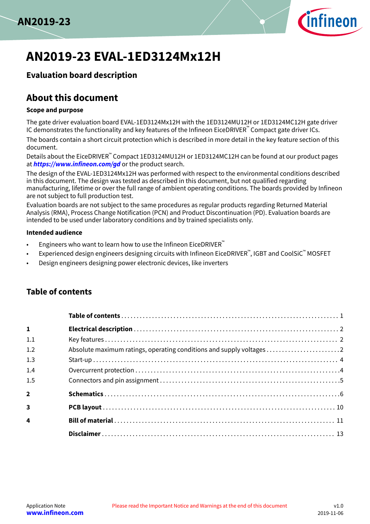



# **AN2019-23 EVAL-1ED3124Mx12H**

## **Evaluation board description**

# **About this document**

#### **Scope and purpose**

The gate driver evaluation board EVAL-1ED3124Mx12H with the 1ED3124MU12H or 1ED3124MC12H gate driver IC demonstrates the functionality and key features of the Infineon EiceDRIVER™ Compact gate driver ICs.

The boards contain a short circuit protection which is described in more detail in the key feature section of this document.

Details about the EiceDRIVER™ Compact 1ED3124MU12H or 1ED3124MC12H can be found at our product pages at **<https://www.infineon.com/gd>** or the product search.

The design of the EVAL-1ED3124Mx12H was performed with respect to the environmental conditions described in this document. The design was tested as described in this document, but not qualified regarding manufacturing, lifetime or over the full range of ambient operating conditions. The boards provided by Infineon are not subject to full production test.

Evaluation boards are not subject to the same procedures as regular products regarding Returned Material Analysis (RMA), Process Change Notification (PCN) and Product Discontinuation (PD). Evaluation boards are intended to be used under laboratory conditions and by trained specialists only.

#### **Intended audience**

- Engineers who want to learn how to use the Infineon EiceDRIVER<sup>™</sup>
- Experienced design engineers designing circuits with Infineon EiceDRIVER™, IGBT and CoolSiC™ <code>MOSFET</code>
- Design engineers designing power electronic devices, like inverters

## **Table of contents**

| $\mathbf{1}$            |  |
|-------------------------|--|
| 1.1                     |  |
| 1.2                     |  |
| 1.3                     |  |
| 1.4                     |  |
| 1.5                     |  |
| $\overline{2}$          |  |
| $\overline{\mathbf{3}}$ |  |
| $\overline{\mathbf{4}}$ |  |
|                         |  |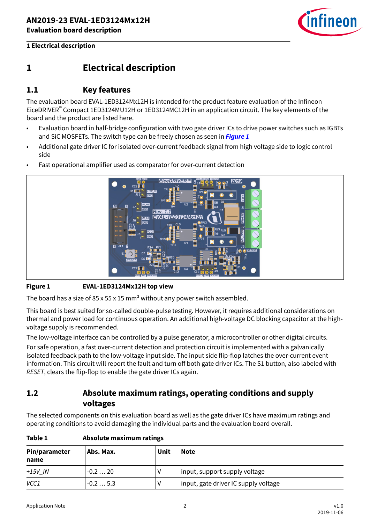

## <span id="page-1-0"></span>**1 Electrical description**

### **1.1 Key features**

The evaluation board EVAL-1ED3124Mx12H is intended for the product feature evaluation of the Infineon EiceDRIVER™ Compact 1ED3124MU12H or 1ED3124MC12H in an application circuit. The key elements of the board and the product are listed here.

- Evaluation board in half-bridge configuration with two gate driver ICs to drive power switches such as IGBTs and SiC MOSFETs. The switch type can be freely chosen as seen in **Figure 1**
- Additional gate driver IC for isolated over-current feedback signal from high voltage side to logic control side
- Fast operational amplifier used as comparator for over-current detection



#### **Figure 1 EVAL-1ED3124Mx12H top view**

The board has a size of 85 x 55 x 15 mm<sup>3</sup> without any power switch assembled.

This board is best suited for so-called double-pulse testing. However, it requires additional considerations on thermal and power load for continuous operation. An additional high-voltage DC blocking capacitor at the highvoltage supply is recommended.

The low-voltage interface can be controlled by a pulse generator, a microcontroller or other digital circuits. For safe operation, a fast over-current detection and protection circuit is implemented with a galvanically isolated feedback path to the low-voltage input side. The input side flip-flop latches the over-current event information. This circuit will report the fault and turn off both gate driver ICs. The S1 button, also labeled with RESET, clears the flip-flop to enable the gate driver ICs again.

## **1.2 Absolute maximum ratings, operating conditions and supply voltages**

The selected components on this evaluation board as well as the gate driver ICs have maximum ratings and operating conditions to avoid damaging the individual parts and the evaluation board overall.

| Pin/parameter<br>name | Abs. Max. | Unit | <b>Note</b>                          |
|-----------------------|-----------|------|--------------------------------------|
| $+15V$ IN             | $-0.220$  |      | input, support supply voltage        |
| VCC1                  | $-0.25.3$ |      | input, gate driver IC supply voltage |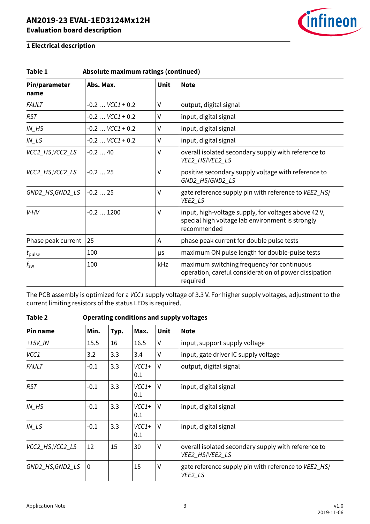

| Absolute maximum ratings (continued)<br>Table 1 |                     |             |                                                                                                                         |  |  |
|-------------------------------------------------|---------------------|-------------|-------------------------------------------------------------------------------------------------------------------------|--|--|
| Pin/parameter<br>name                           | Abs. Max.           | <b>Unit</b> | <b>Note</b>                                                                                                             |  |  |
| <b>FAULT</b>                                    | $-0.2$ $VCC1 + 0.2$ | V           | output, digital signal                                                                                                  |  |  |
| <b>RST</b>                                      | $-0.2$ $VCC1 + 0.2$ | V           | input, digital signal                                                                                                   |  |  |
| $IN$ <sub><math>H</math></sub> $S$              | $-0.2$ $VCC1 + 0.2$ | V           | input, digital signal                                                                                                   |  |  |
| $IN$ <sub>LS</sub>                              | $-0.2$ $VCC1 + 0.2$ | V           | input, digital signal                                                                                                   |  |  |
| VCC2_HS,VCC2_LS                                 | $-0.240$            | V           | overall isolated secondary supply with reference to<br>VEE2_HS/VEE2_LS                                                  |  |  |
| VCC2_HS,VCC2_LS                                 | $-0.225$            | ٧           | positive secondary supply voltage with reference to<br>GND2_HS/GND2_LS                                                  |  |  |
| GND2_HS,GND2_LS                                 | $-0.225$            | ٧           | gate reference supply pin with reference to VEE2_HS/<br>VEE2_LS                                                         |  |  |
| V-HV                                            | $-0.21200$          | ٧           | input, high-voltage supply, for voltages above 42 V,<br>special high voltage lab environment is strongly<br>recommended |  |  |
| Phase peak current                              | 25                  | A           | phase peak current for double pulse tests                                                                               |  |  |
| $t_{\rm pulse}$                                 | 100                 | μs          | maximum ON pulse length for double-pulse tests                                                                          |  |  |
| $t_{\rm sw}$                                    | 100                 | kHz         | maximum switching frequency for continuous<br>operation, careful consideration of power dissipation<br>required         |  |  |

The PCB assembly is optimized for a VCC1 supply voltage of 3.3 V. For higher supply voltages, adjustment to the current limiting resistors of the status LEDs is required.

| Pin name                           | Min.        | Typ. | Max.           | <b>Unit</b> | <b>Note</b>                                                            |
|------------------------------------|-------------|------|----------------|-------------|------------------------------------------------------------------------|
| $+15V$ IN                          | 15.5        | 16   | 16.5           | v           | input, support supply voltage                                          |
| VCC1                               | 3.2         | 3.3  | 3.4            | V           | input, gate driver IC supply voltage                                   |
| <b>FAULT</b>                       | $-0.1$      | 3.3  | $VCC1+$<br>0.1 | $\vee$      | output, digital signal                                                 |
| <b>RST</b>                         | $-0.1$      | 3.3  | $VCC1+$<br>0.1 | V           | input, digital signal                                                  |
| $IN$ <sub><math>H</math></sub> $S$ | $-0.1$      | 3.3  | $VCC1+$<br>0.1 | $\vee$      | input, digital signal                                                  |
| $IN$ <sub>LS</sub>                 | $-0.1$      | 3.3  | $VCC1+$<br>0.1 | V           | input, digital signal                                                  |
| VCC2_HS, VCC2_LS                   | 12          | 15   | 30             | $\vee$      | overall isolated secondary supply with reference to<br>VEE2_HS/VEE2_LS |
| GND2_HS,GND2_LS                    | $\mathbf 0$ |      | 15             | $\vee$      | gate reference supply pin with reference to VEE2_HS/<br>VEE2_LS        |

**Table 2 Operating conditions and supply voltages**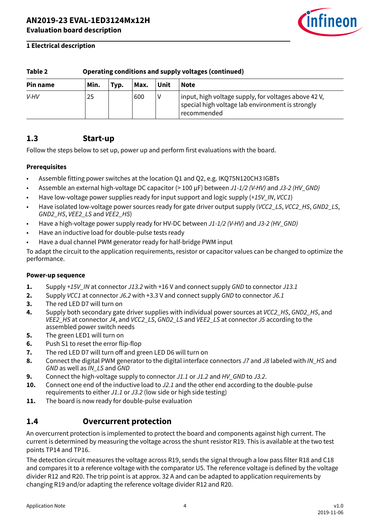

<span id="page-3-0"></span>

| Table 2<br>Operating conditions and supply voltages (continued) |                                             |  |     |  |                                                                                                                         |  |
|-----------------------------------------------------------------|---------------------------------------------|--|-----|--|-------------------------------------------------------------------------------------------------------------------------|--|
| Pin name                                                        | Unit<br>Min.<br><b>Note</b><br>Max.<br>Typ. |  |     |  |                                                                                                                         |  |
| V-HV                                                            | 25                                          |  | 600 |  | input, high voltage supply, for voltages above 42 V,<br>special high voltage lab environment is strongly<br>recommended |  |

### **1.3 Start-up**

Follow the steps below to set up, power up and perform first evaluations with the board.

#### **Prerequisites**

- Assemble fitting power switches at the location Q1 and Q2, e.g. IKQ75N120CH3 IGBTs
- Assemble an external high-voltage DC capacitor (> 100 µF) between J1-1/2 (V-HV) and J3-2 (HV GND)
- Have low-voltage power supplies ready for input support and logic supply (+15V IN, VCC1)
- Have isolated low-voltage power sources ready for gate driver output supply (VCC2\_LS, VCC2\_HS, GND2\_LS, GND2\_HS, VEE2\_LS and VEE2\_HS)
- Have a high-voltage power supply ready for HV-DC between J1-1/2 (V-HV) and J3-2 (HV GND)
- Have an inductive load for double-pulse tests ready
- Have a dual channel PWM generator ready for half-bridge PWM input

To adapt the circuit to the application requirements, resistor or capacitor values can be changed to optimize the performance.

#### **Power-up sequence**

- **1.** Supply +15V\_IN at connector J13.2 with +16 V and connect supply GND to connector J13.1
- **2.** Supply VCC1 at connector J6.2 with +3.3 V and connect supply GND to connector J6.1
- **3.** The red LED D7 will turn on
- **4.** Supply both secondary gate driver supplies with individual power sources at *VCC2 HS*, GND2 HS, and VEE2\_HS at connector J4, and VCC2\_LS, GND2\_LS and VEE2\_LS at connector J5 according to the assembled power switch needs
- **5.** The green LED1 will turn on
- **6.** Push S1 to reset the error flip-flop
- **7.** The red LED D7 will turn off and green LED D6 will turn on
- 8. Connect the digital PWM generator to the digital interface connectors J7 and J8 labeled with IN\_HS and GND as well as IN\_LS and GND
- **9.** Connect the high-voltage supply to connector J1.1 or J1.2 and HV\_GND to J3.2.
- **10.** Connect one end of the inductive load to J2.1 and the other end according to the double-pulse requirements to either J1.1 or J3.2 (low side or high side testing)
- **11.** The board is now ready for double-pulse evaluation

### **1.4 Overcurrent protection**

An overcurrent protection is implemented to protect the board and components against high current. The current is determined by measuring the voltage across the shunt resistor R19. This is available at the two test points TP14 and TP16.

The detection circuit measures the voltage across R19, sends the signal through a low pass filter R18 and C18 and compares it to a reference voltage with the comparator U5. The reference voltage is defined by the voltage divider R12 and R20. The trip point is at approx. 32 A and can be adapted to application requirements by changing R19 and/or adapting the reference voltage divider R12 and R20.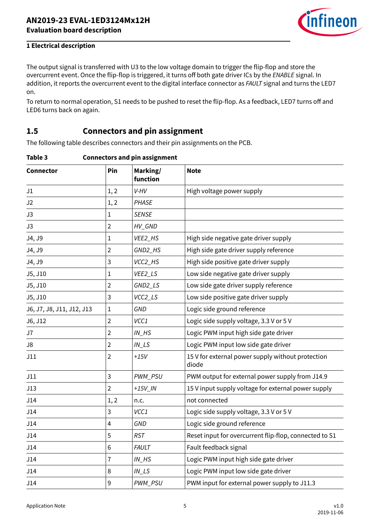

<span id="page-4-0"></span>The output signal is transferred with U3 to the low voltage domain to trigger the flip-flop and store the overcurrent event. Once the flip-flop is triggered, it turns off both gate driver ICs by the ENABLE signal. In addition, it reports the overcurrent event to the digital interface connector as FAULT signal and turns the LED7 on.

To return to normal operation, S1 needs to be pushed to reset the flip-flop. As a feedback, LED7 turns off and LED6 turns back on again.

## **1.5 Connectors and pin assignment**

The following table describes connectors and their pin assignments on the PCB.

| Table 3 | <b>Connectors and pin assignment</b> |  |
|---------|--------------------------------------|--|
|         |                                      |  |

| <b>Connector</b>          | Pin            | Marking/<br>function               | <b>Note</b>                                                |
|---------------------------|----------------|------------------------------------|------------------------------------------------------------|
| J1                        | 1, 2           | V-HV                               | High voltage power supply                                  |
| J2                        | 1, 2           | PHASE                              |                                                            |
| J3                        | 1              | <b>SENSE</b>                       |                                                            |
| J3                        | $\overline{2}$ | HV_GND                             |                                                            |
| J4, J9                    | 1              | VEE2_HS                            | High side negative gate driver supply                      |
| J4, J9                    | $\overline{2}$ | GND2_HS                            | High side gate driver supply reference                     |
| J4, J9                    | 3              | VCC2_HS                            | High side positive gate driver supply                      |
| J5, J10                   | $\mathbf 1$    | VEE2_LS                            | Low side negative gate driver supply                       |
| J5, J10                   | $\overline{2}$ | GND2_LS                            | Low side gate driver supply reference                      |
| J5, J10                   | 3              | VCC2_LS                            | Low side positive gate driver supply                       |
| J6, J7, J8, J11, J12, J13 | $\mathbf{1}$   | GND                                | Logic side ground reference                                |
| J6, J12                   | $\overline{2}$ | VCC1                               | Logic side supply voltage, 3.3 V or 5 V                    |
| J7                        | $\overline{2}$ | $IN$ <sub><math>H</math></sub> $S$ | Logic PWM input high side gate driver                      |
| J8                        | $\overline{2}$ | $IN$ <sub>_<math>LS</math></sub>   | Logic PWM input low side gate driver                       |
| J11                       | $\overline{2}$ | $+15V$                             | 15 V for external power supply without protection<br>diode |
| J11                       | 3              | PWM_PSU                            | PWM output for external power supply from J14.9            |
| J13                       | $\overline{2}$ | $+15V$ <sub>IN</sub>               | 15 V input supply voltage for external power supply        |
| J14                       | 1, 2           | n.c.                               | not connected                                              |
| J14                       | 3              | VCC1                               | Logic side supply voltage, 3.3 V or 5 V                    |
| J14                       | 4              | <b>GND</b>                         | Logic side ground reference                                |
| J14                       | 5              | <b>RST</b>                         | Reset input for overcurrent flip-flop, connected to S1     |
| J14                       | 6              | <b>FAULT</b>                       | Fault feedback signal                                      |
| J14                       | 7              | $IN$ <sub><math>H</math></sub> $S$ | Logic PWM input high side gate driver                      |
| J14                       | 8              | $IN$ <sub>_LS</sub>                | Logic PWM input low side gate driver                       |
| J14                       | 9              | PWM_PSU                            | PWM input for external power supply to J11.3               |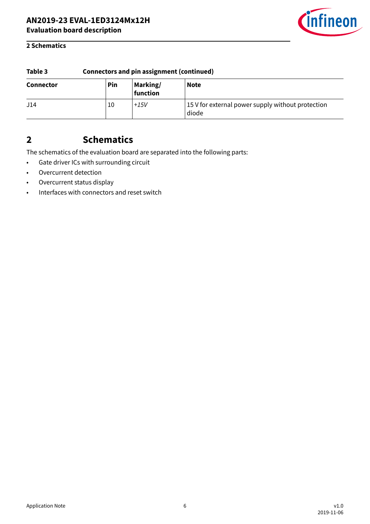

#### <span id="page-5-0"></span>**2 Schematics**

| Table 3          | <b>Connectors and pin assignment (continued)</b> |                      |                                                            |  |  |
|------------------|--------------------------------------------------|----------------------|------------------------------------------------------------|--|--|
| <b>Connector</b> | Pin                                              | Marking/<br>function | <b>Note</b>                                                |  |  |
| J14              | 10                                               | $+15V$               | 15 V for external power supply without protection<br>diode |  |  |

## **2 Schematics**

The schematics of the evaluation board are separated into the following parts:

- Gate driver ICs with surrounding circuit
- Overcurrent detection
- Overcurrent status display
- Interfaces with connectors and reset switch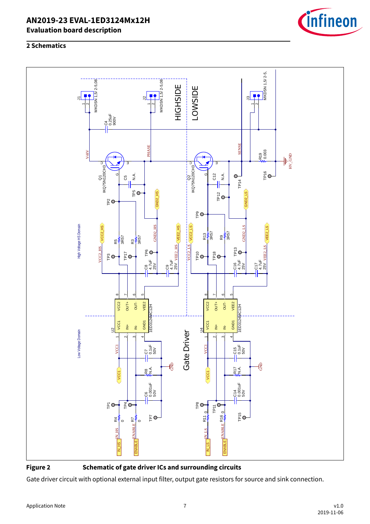#### **2 Schematics**



**Figure 2 Schematic of gate driver ICs and surrounding circuits**

Gate driver circuit with optional external input filter, output gate resistors for source and sink connection.

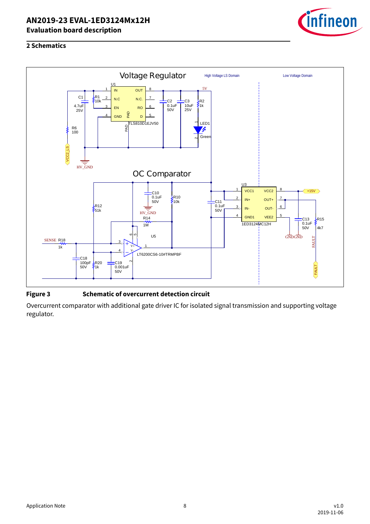

#### **2 Schematics**



#### **Figure 3 Schematic of overcurrent detection circuit**

Overcurrent comparator with additional gate driver IC for isolated signal transmission and supporting voltage regulator.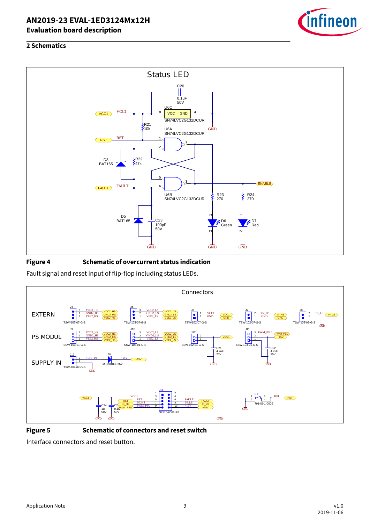

### **2 Schematics**



#### **Figure 4 Schematic of overcurrent status indication**

Fault signal and reset input of flip-flop including status LEDs.



**Figure 5 Schematic of connectors and reset switch**

Interface connectors and reset button.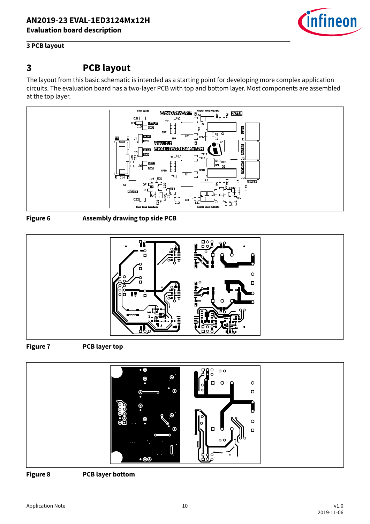

#### <span id="page-9-0"></span>**3 PCB layout**

## **3 PCB layout**

The layout from this basic schematic is intended as a starting point for developing more complex application circuits. The evaluation board has a two-layer PCB with top and bottom layer. Most components are assembled at the top layer.



**Figure 6 Assembly drawing top side PCB**



**Figure 7 PCB layer top**



**Figure 8 PCB layer bottom**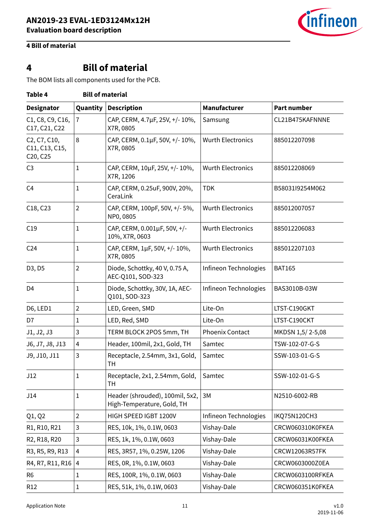

## <span id="page-10-0"></span>**4 Bill of material**

# **4 Bill of material**

The BOM lists all components used for the PCB.

| Table 4<br><b>Bill of material</b>                                                                         |                |                                                               |                          |                    |  |  |
|------------------------------------------------------------------------------------------------------------|----------------|---------------------------------------------------------------|--------------------------|--------------------|--|--|
| <b>Designator</b>                                                                                          | Quantity       | <b>Description</b>                                            | Manufacturer             | <b>Part number</b> |  |  |
| C1, C8, C9, C16,<br>C17, C21, C22                                                                          | $\overline{7}$ | CAP, CERM, 4.7µF, 25V, +/-10%,<br>X7R, 0805                   | Samsung                  | CL21B475KAFNNNE    |  |  |
| C <sub>2</sub> , C <sub>7</sub> , C <sub>10</sub> ,<br>C11, C13, C15,<br>C <sub>20</sub> , C <sub>25</sub> | 8              | CAP, CERM, 0.1µF, 50V, +/-10%,<br>X7R, 0805                   | <b>Wurth Electronics</b> | 885012207098       |  |  |
| C <sub>3</sub>                                                                                             | 1              | CAP, CERM, 10µF, 25V, +/-10%,<br>X7R, 1206                    | <b>Wurth Electronics</b> | 885012208069       |  |  |
| C <sub>4</sub>                                                                                             | 1              | CAP, CERM, 0.25uF, 900V, 20%,<br>CeraLink                     | <b>TDK</b>               | B58031l9254M062    |  |  |
| C18, C23                                                                                                   | $\overline{2}$ | CAP, CERM, 100pF, 50V, +/- 5%,<br>NP0, 0805                   | <b>Wurth Electronics</b> | 885012007057       |  |  |
| C19                                                                                                        | $\mathbf{1}$   | CAP, CERM, 0.001µF, 50V, +/-<br>10%, X7R, 0603                | <b>Wurth Electronics</b> | 885012206083       |  |  |
| C <sub>24</sub>                                                                                            | 1              | CAP, CERM, 1µF, 50V, +/-10%,<br>X7R, 0805                     | <b>Wurth Electronics</b> | 885012207103       |  |  |
| D3, D5                                                                                                     | $\overline{2}$ | Diode, Schottky, 40 V, 0.75 A,<br>AEC-Q101, SOD-323           | Infineon Technologies    | <b>BAT165</b>      |  |  |
| D <sub>4</sub>                                                                                             | 1              | Diode, Schottky, 30V, 1A, AEC-<br>Q101, SOD-323               | Infineon Technologies    | BAS3010B-03W       |  |  |
| D6, LED1                                                                                                   | $\overline{2}$ | LED, Green, SMD                                               | Lite-On                  | LTST-C190GKT       |  |  |
| D7                                                                                                         | 1              | LED, Red, SMD                                                 | Lite-On                  | LTST-C190CKT       |  |  |
| J1, J2, J3                                                                                                 | 3              | TERM BLOCK 2POS 5mm, TH                                       | <b>Phoenix Contact</b>   | MKDSN 1,5/2-5,08   |  |  |
| J6, J7, J8, J13                                                                                            | 4              | Header, 100mil, 2x1, Gold, TH                                 | Samtec                   | TSW-102-07-G-S     |  |  |
| J9, J10, J11                                                                                               | 3              | Receptacle, 2.54mm, 3x1, Gold,<br><b>TH</b>                   | Samtec                   | SSW-103-01-G-S     |  |  |
| J12                                                                                                        | 1              | Receptacle, 2x1, 2.54mm, Gold,<br>TН                          | Samtec                   | SSW-102-01-G-S     |  |  |
| J14                                                                                                        | 1              | Header (shrouded), 100mil, 5x2,<br>High-Temperature, Gold, TH | 3M                       | N2510-6002-RB      |  |  |
| Q1, Q2                                                                                                     | $\overline{2}$ | HIGH SPEED IGBT 1200V                                         | Infineon Technologies    | IKQ75N120CH3       |  |  |
| R1, R10, R21                                                                                               | 3              | RES, 10k, 1%, 0.1W, 0603                                      | Vishay-Dale              | CRCW060310K0FKEA   |  |  |
| R2, R18, R20                                                                                               | 3              | RES, 1k, 1%, 0.1W, 0603                                       | Vishay-Dale              | CRCW06031K00FKEA   |  |  |
| R3, R5, R9, R13                                                                                            | 4              | RES, 3R57, 1%, 0.25W, 1206                                    | Vishay-Dale              | CRCW12063R57FK     |  |  |
| R4, R7, R11, R16                                                                                           | 4              | RES, 0R, 1%, 0.1W, 0603                                       | Vishay-Dale              | CRCW0603000Z0EA    |  |  |
| R <sub>6</sub>                                                                                             | 1              | RES, 100R, 1%, 0.1W, 0603                                     | Vishay-Dale              | CRCW0603100RFKEA   |  |  |
| R <sub>12</sub>                                                                                            | 1              | RES, 51k, 1%, 0.1W, 0603                                      | Vishay-Dale              | CRCW060351K0FKEA   |  |  |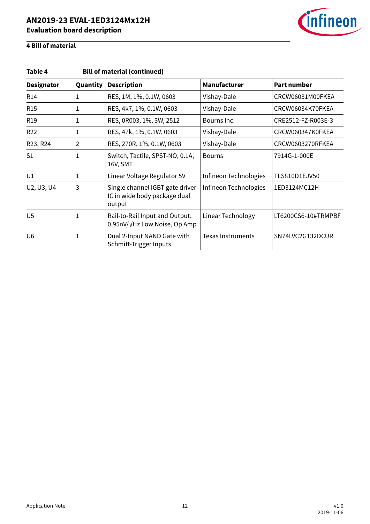

## **4 Bill of material**

| <b>Bill of material (continued)</b><br>Table 4 |             |                                                                           |                          |                     |  |  |  |
|------------------------------------------------|-------------|---------------------------------------------------------------------------|--------------------------|---------------------|--|--|--|
| <b>Designator</b>                              | Quantity    | <b>Description</b>                                                        | Manufacturer             | <b>Part number</b>  |  |  |  |
| R <sub>14</sub>                                | 1           | RES, 1M, 1%, 0.1W, 0603                                                   | Vishay-Dale              | CRCW06031M00FKEA    |  |  |  |
| <b>R15</b>                                     | 1           | RES, 4k7, 1%, 0.1W, 0603                                                  | Vishay-Dale              | CRCW06034K70FKEA    |  |  |  |
| R <sub>19</sub>                                | 1           | RES, 0R003, 1%, 3W, 2512                                                  | Bourns Inc.              | CRE2512-FZ-R003E-3  |  |  |  |
| R <sub>22</sub>                                | 1           | RES, 47k, 1%, 0.1W, 0603                                                  | Vishay-Dale              | CRCW060347K0FKEA    |  |  |  |
| R23, R24                                       | 2           | RES, 270R, 1%, 0.1W, 0603                                                 | Vishay-Dale              | CRCW0603270RFKEA    |  |  |  |
| S <sub>1</sub>                                 | 1           | Switch, Tactile, SPST-NO, 0.1A,<br>16V, SMT                               | <b>Bourns</b>            | 7914G-1-000E        |  |  |  |
| U1                                             | 1           | Linear Voltage Regulator 5V                                               | Infineon Technologies    | TLS810D1EJV50       |  |  |  |
| U2, U3, U4                                     | 3           | Single channel IGBT gate driver<br>IC in wide body package dual<br>output | Infineon Technologies    | 1ED3124MC12H        |  |  |  |
| U <sub>5</sub>                                 | 1           | Rail-to-Rail Input and Output,<br>$0.95nV/\sqrt{Hz}$ Low Noise, Op Amp    | Linear Technology        | LT6200CS6-10#TRMPBF |  |  |  |
| U <sub>6</sub>                                 | $\mathbf 1$ | Dual 2-Input NAND Gate with<br>Schmitt-Trigger Inputs                     | <b>Texas Instruments</b> | SN74LVC2G132DCUR    |  |  |  |